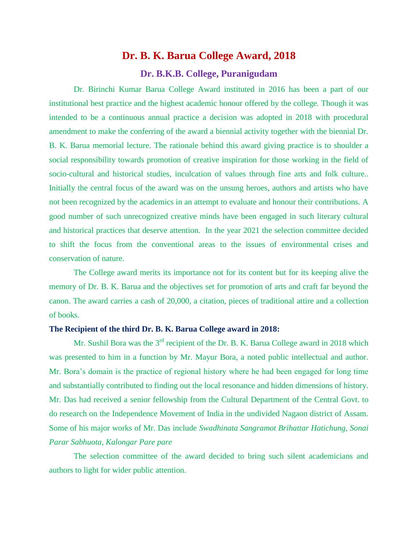## **Dr. B. K. Barua College Award, 2018**

## **Dr. B.K.B. College, Puranigudam**

Dr. Birinchi Kumar Barua College Award instituted in 2016 has been a part of our institutional best practice and the highest academic honour offered by the college. Though it was intended to be a continuous annual practice a decision was adopted in 2018 with procedural amendment to make the conferring of the award a biennial activity together with the biennial Dr. B. K. Barua memorial lecture. The rationale behind this award giving practice is to shoulder a social responsibility towards promotion of creative inspiration for those working in the field of socio-cultural and historical studies, inculcation of values through fine arts and folk culture.. Initially the central focus of the award was on the unsung heroes, authors and artists who have not been recognized by the academics in an attempt to evaluate and honour their contributions. A good number of such unrecognized creative minds have been engaged in such literary cultural and historical practices that deserve attention. In the year 2021 the selection committee decided to shift the focus from the conventional areas to the issues of environmental crises and conservation of nature.

The College award merits its importance not for its content but for its keeping alive the memory of Dr. B. K. Barua and the objectives set for promotion of arts and craft far beyond the canon. The award carries a cash of 20,000, a citation, pieces of traditional attire and a collection of books.

## **The Recipient of the third Dr. B. K. Barua College award in 2018:**

Mr. Sushil Bora was the  $3<sup>rd</sup>$  recipient of the Dr. B. K. Barua College award in 2018 which was presented to him in a function by Mr. Mayur Bora, a noted public intellectual and author. Mr. Bora's domain is the practice of regional history where he had been engaged for long time and substantially contributed to finding out the local resonance and hidden dimensions of history. Mr. Das had received a senior fellowship from the Cultural Department of the Central Govt. to do research on the Independence Movement of India in the undivided Nagaon district of Assam. Some of his major works of Mr. Das include *Swadhinata Sangramot Brihattar Hatichung, Sonai Parar Sabhuota, Kalongar Pare pare* 

The selection committee of the award decided to bring such silent academicians and authors to light for wider public attention.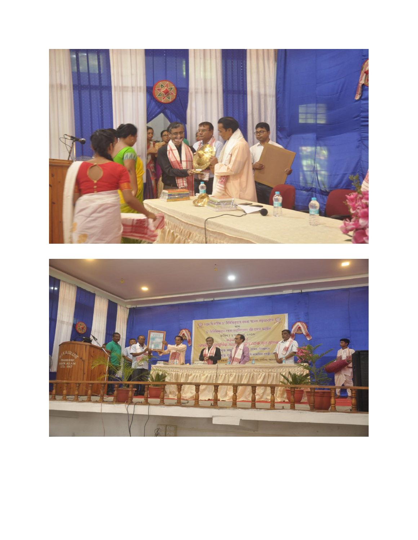